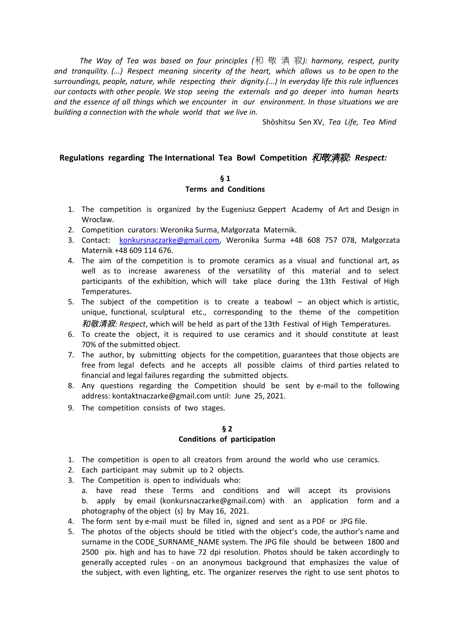*The Way of Tea was based on four principles (*和 敬 清 寂*): harmony, respect, purity and tranquility. (...) Respect meaning sincerity of the heart, which allows us to be open to the surroundings, people, nature, while respecting their dignity.(...) In everyday life this rule influences our contacts with other people. We stop seeing the externals and go deeper into human hearts and the essence of all things which we encounter in our environment. In those situations we are building a connection with the whole world that we live in.*

Shōshitsu Sen XV, *Tea Life, Tea Mind*

## **Regulations regarding The International Tea Bowl Competition**和敬清寂*: Respect:*

### **§ 1 Terms and Conditions**

- 1. The competition is organized by the Eugeniusz Geppert Academy of Art and Design in Wrocław.
- 2. Competition curators: Weronika Surma, Małgorzata Maternik.
- 3. Contact: [konkursnaczarke@gmail.com,](mailto:konkursnaczarke@gmail.com) Weronika Surma +48 608 757 078, Małgorzata Maternik +48 609 114 676.
- 4. The aim of the competition is to promote ceramics as a visual and functional art, as well as to increase awareness of the versatility of this material and to select participants of the exhibition, which will take place during the 13th Festival of High Temperatures.
- 5. The subject of the competition is to create a teabowl  $-$  an object which is artistic, unique, functional, sculptural etc., corresponding to the theme of the competition 和敬清寂*: Respect*, which will be held as part of the 13th Festival of High Temperatures.
- 6. To create the object, it is required to use ceramics and it should constitute at least 70% of the submitted object.
- 7. The author, by submitting objects for the competition, guarantees that those objects are free from legal defects and he accepts all possible claims of third parties related to financial and legal failures regarding the submitted objects.
- 8. Any questions regarding the Competition should be sent by e-mail to the following address: [kontaktnaczarke@gmail.com](mailto:kontaktnaczarke@gmail.com) until: June 25, 2021.
- 9. The competition consists of two stages.

### **§ 2 Conditions of participation**

- 1. The competition is open to all creators from around the world who use ceramics.
- 2. Each participant may submit up to 2 objects.
- 3. The Competition is open to individuals who:
	- a. have read these Terms and conditions and will accept its provisions b. apply by email (konkursnaczarke@gmail.com) with an application form and a photography of the object (s) by May 16, 2021.
- 4. The form sent by e-mail must be filled in, signed and sent as a PDF or JPG file.
- 5. The photos of the objects should be titled with the object's code, the author's name and surname in the CODE\_SURNAME\_NAME system. The JPG file should be between 1800 and 2500 pix. high and has to have 72 dpi resolution. Photos should be taken accordingly to generally accepted rules - on an anonymous background that emphasizes the value of the subject, with even lighting, etc. The organizer reserves the right to use sent photos to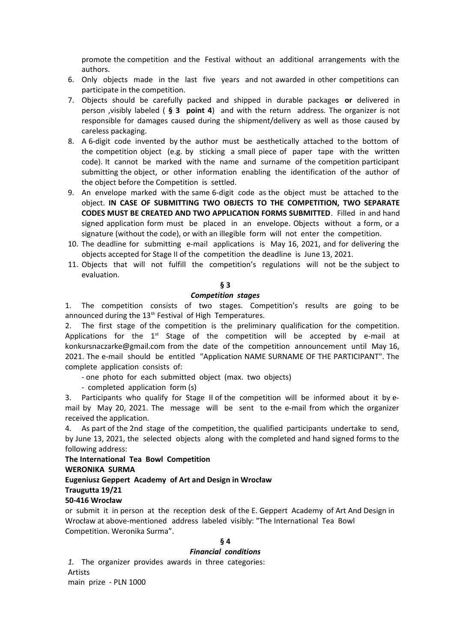promote the competition and the Festival without an additional arrangements with the authors.

- 6. Only objects made in the last five years and not awarded in other competitions can participate in the competition.
- 7. Objects should be carefully packed and shipped in durable packages **or** delivered in person ,visibly labeled ( **§ 3 point 4**) and with the return address. The organizer is not responsible for damages caused during the shipment/delivery as well as those caused by careless packaging.
- 8. A 6-digit code invented by the author must be aesthetically attached to the bottom of the competition object (e.g. by sticking a small piece of paper tape with the written code). It cannot be marked with the name and surname of the competition participant submitting the object, or other information enabling the identification of the author of the object before the Competition is settled.
- 9. An envelope marked with the same 6-digit code as the object must be attached to the object. **IN CASE OF SUBMITTING TWO OBJECTS TO THE COMPETITION, TWO SEPARATE CODES MUST BE CREATED AND TWO APPLICATION FORMS SUBMITTED**. Filled in and hand signed application form must be placed in an envelope. Objects without a form, or a signature (without the code), or with an illegible form will not enter the competition.
- 10. The deadline for submitting e-mail applications is May 16, 2021, and for delivering the objects accepted for Stage II of the competition the deadline is June 13, 2021.
- 11. Objects that will not fulfill the competition's regulations will not be the subject to evaluation.

### **§ 3**

#### *Competition stages*

1. The competition consists of two stages. Competition's results are going to be announced during the  $13<sup>th</sup>$  Festival of High Temperatures.

2. The first stage of the competition is the preliminary qualification for the competition. Applications for the  $1<sup>st</sup>$  Stage of the competition will be accepted by e-mail at [konkursnaczarke@gmail.com](mailto:konkursnaczarke@gmail.com) from the date of the competition announcement until May 16, 2021. The e-mail should be entitled "Application NAME SURNAME OF THE PARTICIPANT". The complete application consists of:

- one photo for each submitted object (max. two objects)

- completed application form (s)

3. Participants who qualify for Stage II of the competition will be informed about it by email by May 20, 2021. The message will be sent to the e-mail from which the organizer received the application.

4. As part of the 2nd stage of the competition, the qualified participants undertake to send, by June 13, 2021, the selected objects along with the completed and hand signed forms to the following address:

**The International Tea Bowl Competition** 

### **WERONIKA SURMA**

## **Eugeniusz Geppert Academy of Art and Design in Wrocław**

# **Traugutta 19/21**

# **50-416 Wrocław**

or submit it in person at the reception desk of the E. Geppert Academy of Art And Design in Wrocław at above-mentioned address labeled visibly: "The International Tea Bowl Competition. Weronika Surma".

## **§ 4**

#### *Financial conditions*

*1.* The organizer provides awards in three categories: Artists main prize - PLN 1000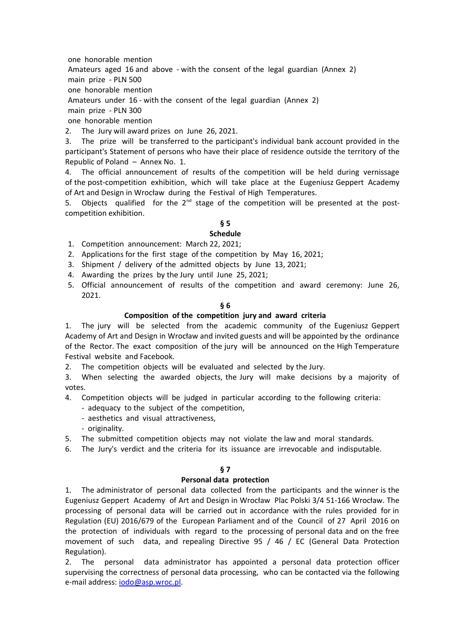one honorable mention

Amateurs aged 16 and above - with the consent of the legal guardian (Annex 2)

main prize - PLN 500

one honorable mention

Amateurs under 16 - with the consent of the legal guardian (Annex 2)

main prize - PLN 300

one honorable mention

2. The Jury will award prizes on June 26, 2021.

3. The prize will be transferred to the participant's individual bank account provided in the participant's Statement of persons who have their place of residence outside the territory of the Republic of Poland – Annex No. 1.

4. The official announcement of results of the competition will be held during vernissage of the post-competition exhibition, which will take place at the Eugeniusz Geppert Academy of Art and Design in Wrocław during the Festival of High Temperatures.

5. Objects qualified for the  $2^{nd}$  stage of the competition will be presented at the postcompetition exhibition.

# **§ 5**

# **Schedule**

- 1. Competition announcement: March 22, 2021;
- 2. Applications for the first stage of the competition by May 16, 2021;
- 3. Shipment / delivery of the admitted objects by June 13, 2021;
- 4. Awarding the prizes by the Jury until June 25, 2021;
- 5. Official announcement of results of the competition and award ceremony: June 26, 2021.

## **§ 6**

## **Composition of the competition jury and award criteria**

1. The jury will be selected from the academic community of the Eugeniusz Geppert Academy of Art and Design in Wrocław and invited guests and will be appointed by the ordinance of the Rector. The exact composition of the jury will be announced on the High Temperature Festival website and Facebook.

2. The competition objects will be evaluated and selected by the Jury.

3. When selecting the awarded objects, the Jury will make decisions by a majority of votes.

4. Competition objects will be judged in particular according to the following criteria:

- adequacy to the subject of the competition,

- aesthetics and visual attractiveness,
- originality.
- 5. The submitted competition objects may not violate the law and moral standards.
- 6. The Jury's verdict and the criteria for its issuance are irrevocable and indisputable.

## **§ 7**

## **Personal data protection**

1. The administrator of personal data collected from the participants and the winner is the Eugeniusz Geppert Academy of Art and Design in Wrocław Plac Polski 3/4 51-166 Wrocław. The processing of personal data will be carried out in accordance with the rules provided for in Regulation (EU) 2016/679 of the European Parliament and of the Council of 27 April 2016 on the protection of individuals with regard to the processing of personal data and on the free movement of such data, and repealing Directive 95 / 46 / EC (General Data Protection Regulation).

2. The personal data administrator has appointed a personal data protection officer supervising the correctness of personal data processing, who can be contacted via the following e-mail address: [iodo@asp.wroc.pl.](mailto:iodo@asp.wroc.pl)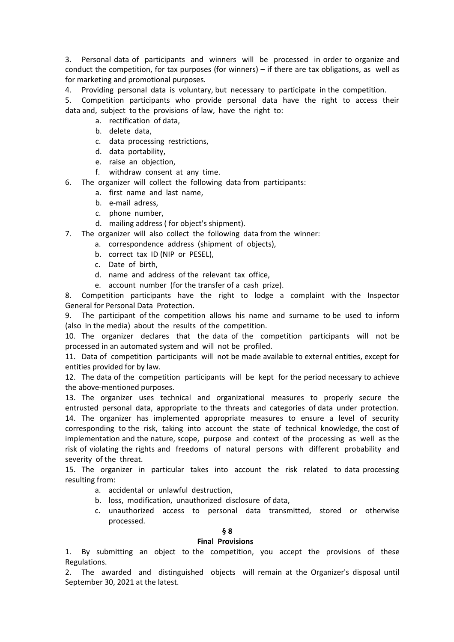3. Personal data of participants and winners will be processed in order to organize and conduct the competition, for tax purposes (for winners) – if there are tax obligations, as well as for marketing and promotional purposes.

4. Providing personal data is voluntary, but necessary to participate in the competition.

5. Competition participants who provide personal data have the right to access their data and, subject to the provisions of law, have the right to:

- a. rectification of data,
- b. delete data,
- c. data processing restrictions,
- d. data portability,
- e. raise an objection,
- f. withdraw consent at any time.

6. The organizer will collect the following data from participants:

- a. first name and last name,
- b. e-mail adress,
- c. phone number,
- d. mailing address ( for object's shipment).
- 7. The organizer will also collect the following data from the winner:
	- a. correspondence address (shipment of objects),
	- b. correct tax ID (NIP or PESEL),
	- c. Date of birth,
	- d. name and address of the relevant tax office,
	- e. account number (for the transfer of a cash prize).

8. Competition participants have the right to lodge a complaint with the Inspector General for Personal Data Protection.

9. The participant of the competition allows his name and surname to be used to inform (also in the media) about the results of the competition.

10. The organizer declares that the data of the competition participants will not be processed in an automated system and will not be profiled.

11. Data of competition participants will not be made available to external entities, except for entities provided for by law.

12. The data of the competition participants will be kept for the period necessary to achieve the above-mentioned purposes.

13. The organizer uses technical and organizational measures to properly secure the entrusted personal data, appropriate to the threats and categories of data under protection. 14. The organizer has implemented appropriate measures to ensure a level of security corresponding to the risk, taking into account the state of technical knowledge, the cost of implementation and the nature, scope, purpose and context of the processing as well as the risk of violating the rights and freedoms of natural persons with different probability and severity of the threat.

15. The organizer in particular takes into account the risk related to data processing resulting from:

- a. accidental or unlawful destruction,
- b. loss, modification, unauthorized disclosure of data,
- c. unauthorized access to personal data transmitted, stored or otherwise processed.

#### **§ 8**

#### **Final Provisions**

1. By submitting an object to the competition, you accept the provisions of these Regulations.

2. The awarded and distinguished objects will remain at the Organizer's disposal until September 30, 2021 at the latest.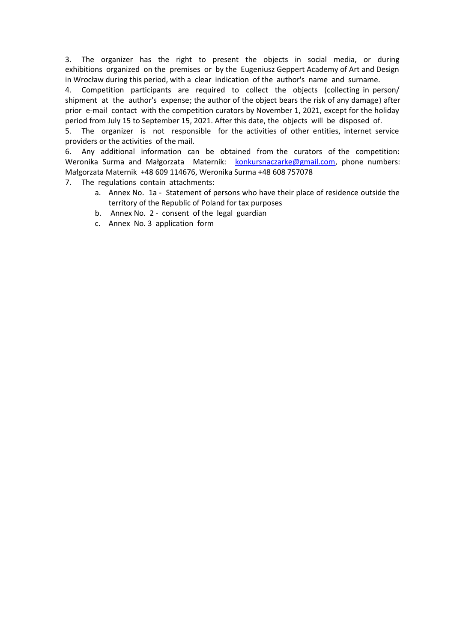3. The organizer has the right to present the objects in social media, or during exhibitions organized on the premises or by the Eugeniusz Geppert Academy of Art and Design in Wrocław during this period, with a clear indication of the author's name and surname.

4. Competition participants are required to collect the objects (collecting in person/ shipment at the author's expense; the author of the object bears the risk of any damage) after prior e-mail contact with the competition curators by November 1, 2021, except for the holiday period from July 15 to September 15, 2021. After this date, the objects will be disposed of.

5. The organizer is not responsible for the activities of other entities, internet service providers or the activities of the mail.

6. Any additional information can be obtained from the curators of the competition: Weronika Surma and Małgorzata Maternik: [konkursnaczarke@gmail.com,](mailto:konkursnaczarke@gmail.com) phone numbers: Małgorzata Maternik +48 609 114676, Weronika Surma +48 608 757078

7. The regulations contain attachments:

- a. Annex No. 1a Statement of persons who have their place of residence outside the territory of the Republic of Poland for tax purposes
- b. Annex No. 2 consent of the legal guardian
- c. Annex No. 3 application form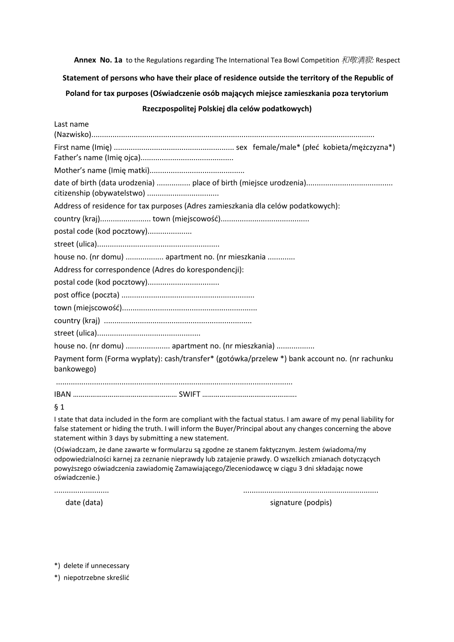**Annex No. 1a** to the Regulations regarding The International Tea Bowl Competition 和敬清寂*:* Respect

**Statement of persons who have their place of residence outside the territory of the Republic of Poland for tax purposes (Oświadczenie osób mających miejsce zamieszkania poza terytorium**

### **Rzeczpospolitej Polskiej dla celów podatkowych)**

| Last name                                                                                                    |
|--------------------------------------------------------------------------------------------------------------|
|                                                                                                              |
|                                                                                                              |
|                                                                                                              |
| Address of residence for tax purposes (Adres zamieszkania dla celów podatkowych):                            |
|                                                                                                              |
| postal code (kod pocztowy)                                                                                   |
|                                                                                                              |
| house no. (nr domu)  apartment no. (nr mieszkania                                                            |
| Address for correspondence (Adres do korespondencji):                                                        |
|                                                                                                              |
|                                                                                                              |
|                                                                                                              |
|                                                                                                              |
|                                                                                                              |
| house no. (nr domu)  apartment no. (nr mieszkania)                                                           |
| Payment form (Forma wypłaty): cash/transfer* (gotówka/przelew *) bank account no. (nr rachunku<br>bankowego) |
|                                                                                                              |

### § 1

I state that data included in the form are compliant with the factual status. I am aware of my penal liability for false statement or hiding the truth. I will inform the Buyer/Principal about any changes concerning the above statement within 3 days by submitting a new statement.

(Oświadczam, że dane zawarte w formularzu są zgodne ze stanem faktycznym. Jestem świadoma/my odpowiedzialności karnej za zeznanie nieprawdy lub zatajenie prawdy. O wszelkich zmianach dotyczących powyższego oświadczenia zawiadomię Zamawiającego/Zleceniodawcę w ciągu 3 dni składając nowe oświadczenie.)

.......................... ................................................................

date (data) signature (podpis)

\*) delete if unnecessary

\*) niepotrzebne skreślić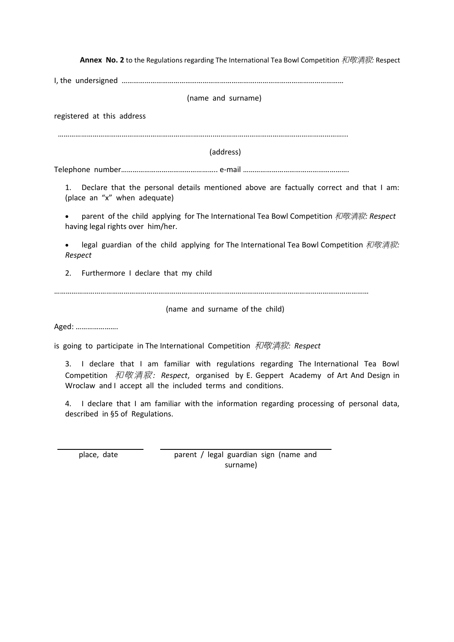**Annex No. 2** to the Regulations regarding The International Tea Bowl Competition 和敬清寂*:* Respect

I, the undersigned …………………………………………………………….………………………………………

(name and surname)

registered at this address

…………………………………………………………….………..…………………………………………………………...

(address)

Telephone number………………………………………….. e-mail ……………………………………………….

1. Declare that the personal details mentioned above are factually correct and that I am: (place an "x" when adequate)

 parent of the child applying for The International Tea Bowl Competition 和敬清寂*: Respect*  having legal rights over him/her.

legal guardian of the child applying for The International Tea Bowl Competition *和敬清寂: Respect*

2. Furthermore I declare that my child

…………………………………………………………………………….…………………………………………………………………

(name and surname of the child)

Aged: ………………….

is going to participate in The International Competition 和敬清寂*: Respect*

3. I declare that I am familiar with regulations regarding The International Tea Bowl Competition 和敬清寂*: Respect*, organised by E. Geppert Academy of Art And Design in Wroclaw and I accept all the included terms and conditions.

4. I declare that I am familiar with the information regarding processing of personal data, described in §5 of Regulations.

place, date parent / legal guardian sign (name and surname)